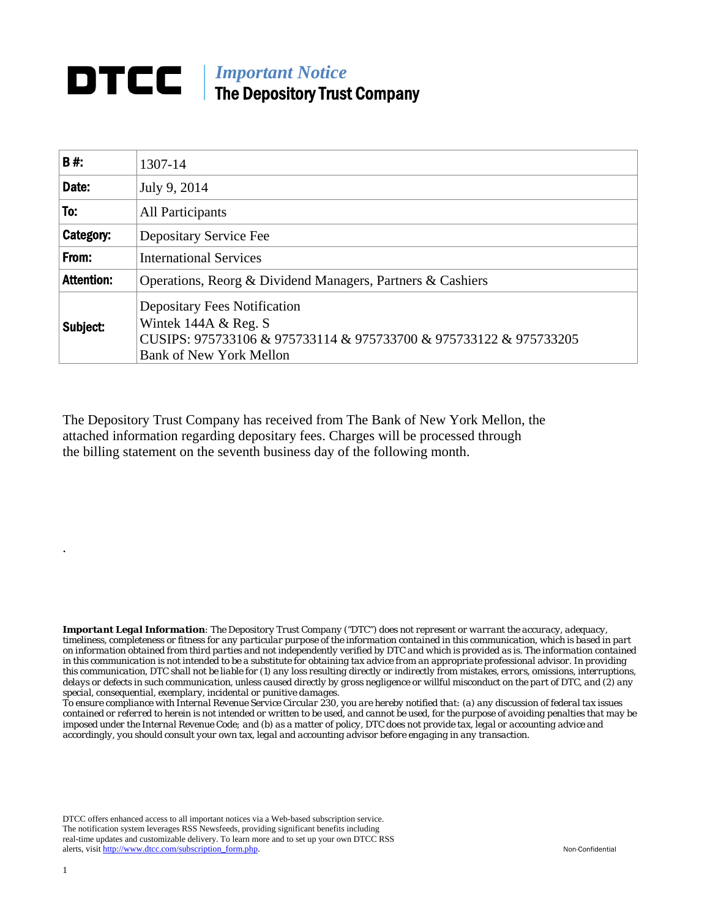## **DTCC** | *Important Notice* The Depository Trust Company

| B#:               | 1307-14                                                                                                                                                                     |
|-------------------|-----------------------------------------------------------------------------------------------------------------------------------------------------------------------------|
| Date:             | July 9, 2014                                                                                                                                                                |
| To:               | All Participants                                                                                                                                                            |
| Category:         | Depositary Service Fee                                                                                                                                                      |
| From:             | <b>International Services</b>                                                                                                                                               |
| <b>Attention:</b> | Operations, Reorg & Dividend Managers, Partners & Cashiers                                                                                                                  |
| Subject:          | <b>Depositary Fees Notification</b><br>Wintek $144A \&\text{Reg. S}$<br>CUSIPS: 975733106 & 975733114 & 975733700 & 975733122 & 975733205<br><b>Bank of New York Mellon</b> |

The Depository Trust Company has received from The Bank of New York Mellon, the attached information regarding depositary fees. Charges will be processed through the billing statement on the seventh business day of the following month.

*Important Legal Information: The Depository Trust Company ("DTC") does not represent or warrant the accuracy, adequacy, timeliness, completeness or fitness for any particular purpose of the information contained in this communication, which is based in part on information obtained from third parties and not independently verified by DTC and which is provided as is. The information contained in this communication is not intended to be a substitute for obtaining tax advice from an appropriate professional advisor. In providing this communication, DTC shall not be liable for (1) any loss resulting directly or indirectly from mistakes, errors, omissions, interruptions, delays or defects in such communication, unless caused directly by gross negligence or willful misconduct on the part of DTC, and (2) any special, consequential, exemplary, incidental or punitive damages.* 

*To ensure compliance with Internal Revenue Service Circular 230, you are hereby notified that: (a) any discussion of federal tax issues contained or referred to herein is not intended or written to be used, and cannot be used, for the purpose of avoiding penalties that may be imposed under the Internal Revenue Code; and (b) as a matter of policy, DTC does not provide tax, legal or accounting advice and accordingly, you should consult your own tax, legal and accounting advisor before engaging in any transaction.*

DTCC offers enhanced access to all important notices via a Web-based subscription service. The notification system leverages RSS Newsfeeds, providing significant benefits including real-time updates and customizable delivery. To learn more and to set up your own DTCC RSS alerts, visit http://www.dtcc.com/subscription\_form.php. Non-Confidential

.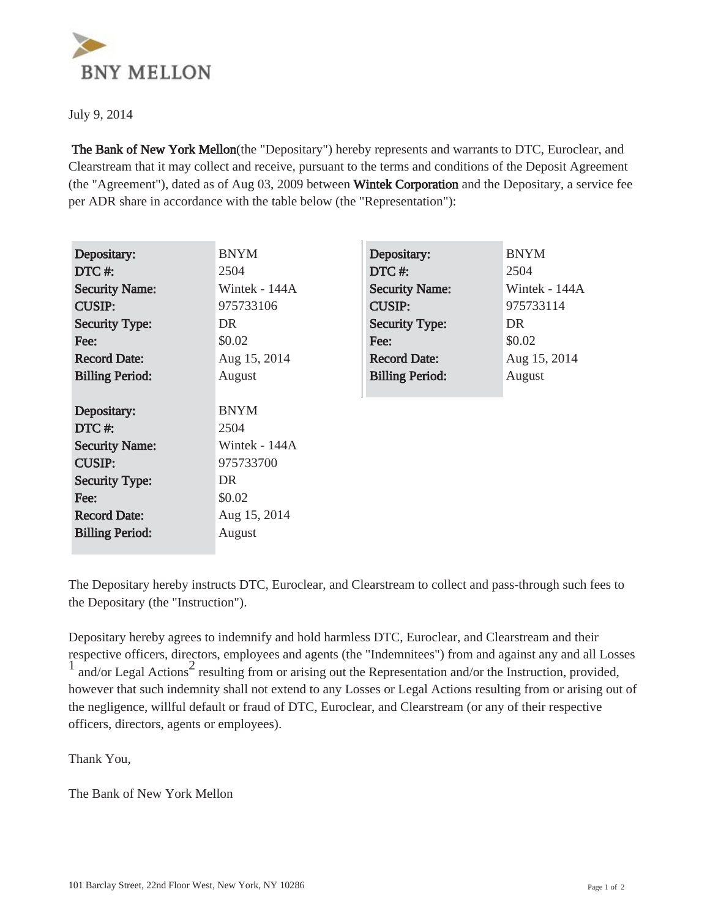

July 9, 2014

 The Bank of New York Mellon(the "Depositary") hereby represents and warrants to DTC, Euroclear, and Clearstream that it may collect and receive, pursuant to the terms and conditions of the Deposit Agreement (the "Agreement"), dated as of Aug 03, 2009 between Wintek Corporation and the Depositary, a service fee per ADR share in accordance with the table below (the "Representation"):

| Depositary:            | <b>BNYM</b>   | Depositary:            | <b>BNYM</b>   |
|------------------------|---------------|------------------------|---------------|
| $DTC \#$               | 2504          | DTC#:                  | 2504          |
| <b>Security Name:</b>  | Wintek - 144A | <b>Security Name:</b>  | Wintek - 144A |
| <b>CUSIP:</b>          | 975733106     | <b>CUSIP:</b>          | 975733114     |
| <b>Security Type:</b>  | DR.           | <b>Security Type:</b>  | DR.           |
| Fee:                   | \$0.02        | Fee:                   | \$0.02        |
| <b>Record Date:</b>    | Aug 15, 2014  | <b>Record Date:</b>    | Aug 15, 2014  |
| <b>Billing Period:</b> | August        | <b>Billing Period:</b> | August        |
|                        |               |                        |               |
| Depositary:            | <b>BNYM</b>   |                        |               |
| DTC#:                  | 2504          |                        |               |
| <b>Security Name:</b>  | Wintek - 144A |                        |               |
| <b>CUSIP:</b>          | 975733700     |                        |               |
| <b>Security Type:</b>  | DR.           |                        |               |
| Fee:                   | \$0.02        |                        |               |
| <b>Record Date:</b>    | Aug 15, 2014  |                        |               |
| <b>Billing Period:</b> | August        |                        |               |

The Depositary hereby instructs DTC, Euroclear, and Clearstream to collect and pass-through such fees to the Depositary (the "Instruction").

Depositary hereby agrees to indemnify and hold harmless DTC, Euroclear, and Clearstream and their respective officers, directors, employees and agents (the "Indemnitees") from and against any and all Losses and/or Legal Actions<sup>2</sup> resulting from or arising out the Representation and/or the Instruction, provided, however that such indemnity shall not extend to any Losses or Legal Actions resulting from or arising out of the negligence, willful default or fraud of DTC, Euroclear, and Clearstream (or any of their respective officers, directors, agents or employees).

Thank You,

The Bank of New York Mellon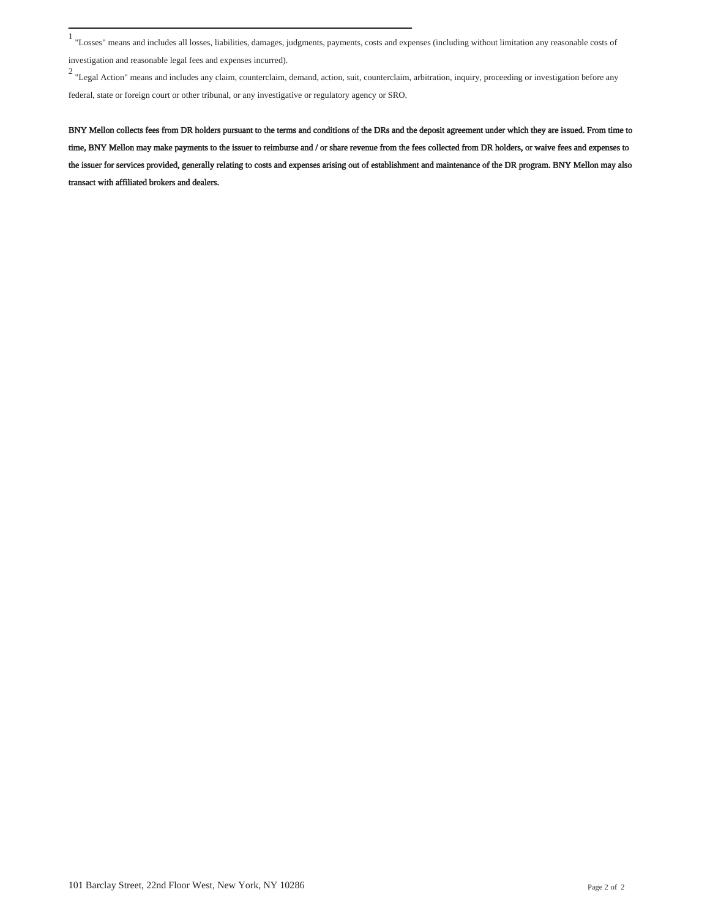investigation and reasonable legal fees and expenses incurred).

<sup>2</sup> "Legal Action" means and includes any claim, counterclaim, demand, action, suit, counterclaim, arbitration, inquiry, proceeding or investigation before any federal, state or foreign court or other tribunal, or any investigative or regulatory agency or SRO.

BNY Mellon collects fees from DR holders pursuant to the terms and conditions of the DRs and the deposit agreement under which they are issued. From time to time, BNY Mellon may make payments to the issuer to reimburse and / or share revenue from the fees collected from DR holders, or waive fees and expenses to the issuer for services provided, generally relating to costs and expenses arising out of establishment and maintenance of the DR program. BNY Mellon may also transact with affiliated brokers and dealers.

<sup>1</sup> "Losses" means and includes all losses, liabilities, damages, judgments, payments, costs and expenses (including without limitation any reasonable costs of